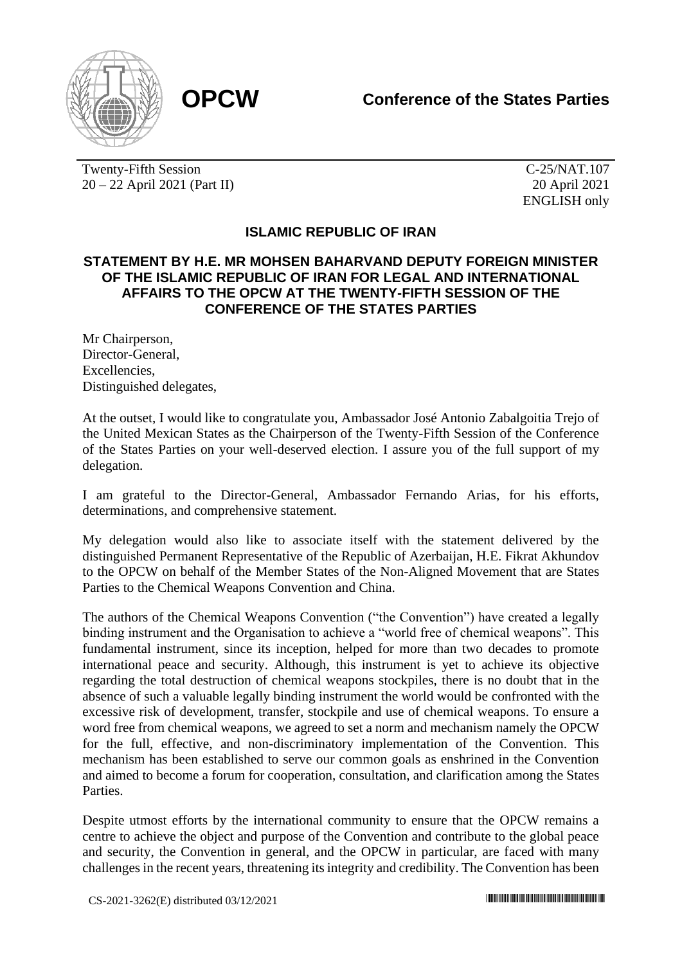

Twenty-Fifth Session 20 – 22 April 2021 (Part II)

C-25/NAT.107 20 April 2021 ENGLISH only

## **ISLAMIC REPUBLIC OF IRAN**

## **STATEMENT BY H.E. MR MOHSEN BAHARVAND DEPUTY FOREIGN MINISTER OF THE ISLAMIC REPUBLIC OF IRAN FOR LEGAL AND INTERNATIONAL AFFAIRS TO THE OPCW AT THE TWENTY-FIFTH SESSION OF THE CONFERENCE OF THE STATES PARTIES**

Mr Chairperson, Director-General, Excellencies, Distinguished delegates,

At the outset, I would like to congratulate you, Ambassador José Antonio Zabalgoitia Trejo of the United Mexican States as the Chairperson of the Twenty-Fifth Session of the Conference of the States Parties on your well-deserved election. I assure you of the full support of my delegation.

I am grateful to the Director-General, Ambassador Fernando Arias, for his efforts, determinations, and comprehensive statement.

My delegation would also like to associate itself with the statement delivered by the distinguished Permanent Representative of the Republic of Azerbaijan, H.E. Fikrat Akhundov to the OPCW on behalf of the Member States of the Non-Aligned Movement that are States Parties to the Chemical Weapons Convention and China.

The authors of the Chemical Weapons Convention ("the Convention") have created a legally binding instrument and the Organisation to achieve a "world free of chemical weapons". This fundamental instrument, since its inception, helped for more than two decades to promote international peace and security. Although, this instrument is yet to achieve its objective regarding the total destruction of chemical weapons stockpiles, there is no doubt that in the absence of such a valuable legally binding instrument the world would be confronted with the excessive risk of development, transfer, stockpile and use of chemical weapons. To ensure a word free from chemical weapons, we agreed to set a norm and mechanism namely the OPCW for the full, effective, and non-discriminatory implementation of the Convention. This mechanism has been established to serve our common goals as enshrined in the Convention and aimed to become a forum for cooperation, consultation, and clarification among the States Parties.

Despite utmost efforts by the international community to ensure that the OPCW remains a centre to achieve the object and purpose of the Convention and contribute to the global peace and security, the Convention in general, and the OPCW in particular, are faced with many challenges in the recent years, threatening its integrity and credibility. The Convention has been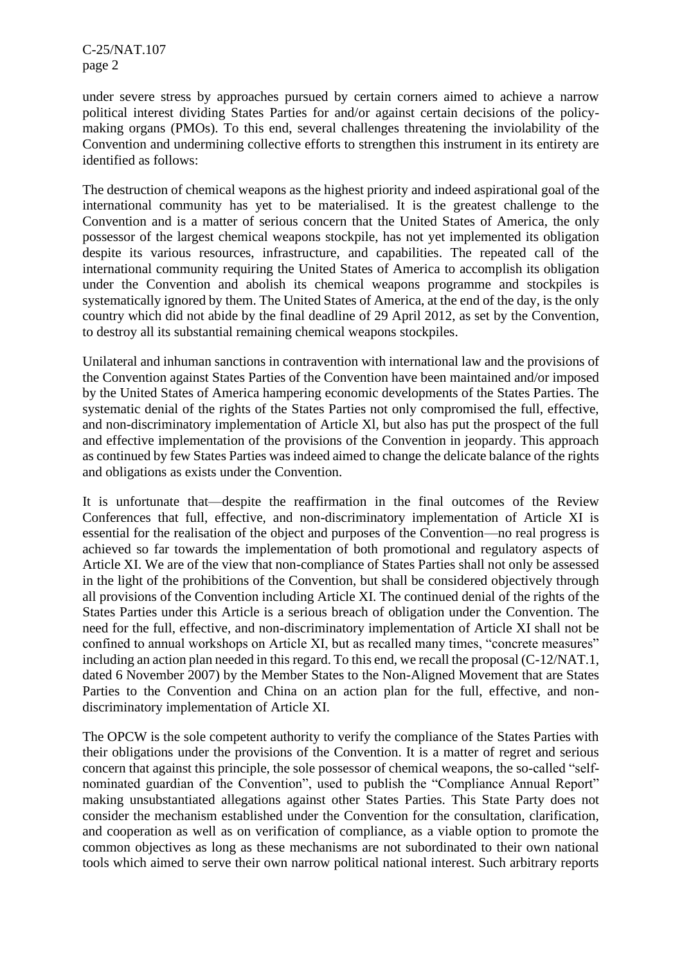C-25/NAT.107 page 2

under severe stress by approaches pursued by certain corners aimed to achieve a narrow political interest dividing States Parties for and/or against certain decisions of the policymaking organs (PMOs). To this end, several challenges threatening the inviolability of the Convention and undermining collective efforts to strengthen this instrument in its entirety are identified as follows:

The destruction of chemical weapons as the highest priority and indeed aspirational goal of the international community has yet to be materialised. It is the greatest challenge to the Convention and is a matter of serious concern that the United States of America, the only possessor of the largest chemical weapons stockpile, has not yet implemented its obligation despite its various resources, infrastructure, and capabilities. The repeated call of the international community requiring the United States of America to accomplish its obligation under the Convention and abolish its chemical weapons programme and stockpiles is systematically ignored by them. The United States of America, at the end of the day, is the only country which did not abide by the final deadline of 29 April 2012, as set by the Convention, to destroy all its substantial remaining chemical weapons stockpiles.

Unilateral and inhuman sanctions in contravention with international law and the provisions of the Convention against States Parties of the Convention have been maintained and/or imposed by the United States of America hampering economic developments of the States Parties. The systematic denial of the rights of the States Parties not only compromised the full, effective, and non-discriminatory implementation of Article Xl, but also has put the prospect of the full and effective implementation of the provisions of the Convention in jeopardy. This approach as continued by few States Parties was indeed aimed to change the delicate balance of the rights and obligations as exists under the Convention.

It is unfortunate that—despite the reaffirmation in the final outcomes of the Review Conferences that full, effective, and non-discriminatory implementation of Article XI is essential for the realisation of the object and purposes of the Convention—no real progress is achieved so far towards the implementation of both promotional and regulatory aspects of Article XI. We are of the view that non-compliance of States Parties shall not only be assessed in the light of the prohibitions of the Convention, but shall be considered objectively through all provisions of the Convention including Article XI. The continued denial of the rights of the States Parties under this Article is a serious breach of obligation under the Convention. The need for the full, effective, and non-discriminatory implementation of Article XI shall not be confined to annual workshops on Article XI, but as recalled many times, "concrete measures" including an action plan needed in this regard. To this end, we recall the proposal (C-12/NAT.1, dated 6 November 2007) by the Member States to the Non-Aligned Movement that are States Parties to the Convention and China on an action plan for the full, effective, and nondiscriminatory implementation of Article XI.

The OPCW is the sole competent authority to verify the compliance of the States Parties with their obligations under the provisions of the Convention. It is a matter of regret and serious concern that against this principle, the sole possessor of chemical weapons, the so-called "selfnominated guardian of the Convention", used to publish the "Compliance Annual Report" making unsubstantiated allegations against other States Parties. This State Party does not consider the mechanism established under the Convention for the consultation, clarification, and cooperation as well as on verification of compliance, as a viable option to promote the common objectives as long as these mechanisms are not subordinated to their own national tools which aimed to serve their own narrow political national interest. Such arbitrary reports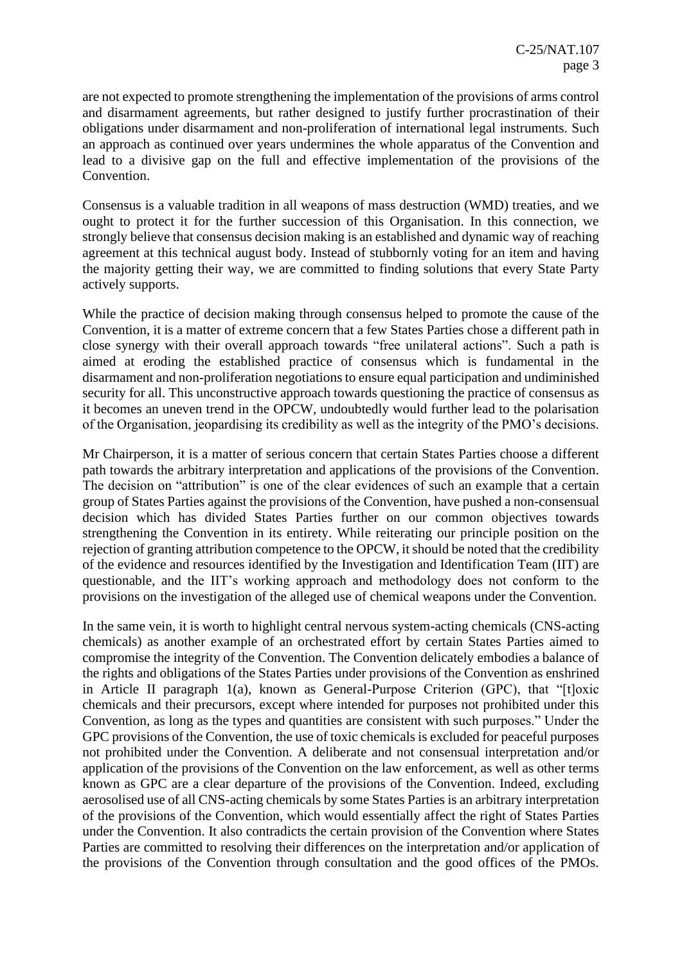are not expected to promote strengthening the implementation of the provisions of arms control and disarmament agreements, but rather designed to justify further procrastination of their obligations under disarmament and non-proliferation of international legal instruments. Such an approach as continued over years undermines the whole apparatus of the Convention and lead to a divisive gap on the full and effective implementation of the provisions of the Convention.

Consensus is a valuable tradition in all weapons of mass destruction (WMD) treaties, and we ought to protect it for the further succession of this Organisation. In this connection, we strongly believe that consensus decision making is an established and dynamic way of reaching agreement at this technical august body. Instead of stubbornly voting for an item and having the majority getting their way, we are committed to finding solutions that every State Party actively supports.

While the practice of decision making through consensus helped to promote the cause of the Convention, it is a matter of extreme concern that a few States Parties chose a different path in close synergy with their overall approach towards "free unilateral actions". Such a path is aimed at eroding the established practice of consensus which is fundamental in the disarmament and non-proliferation negotiations to ensure equal participation and undiminished security for all. This unconstructive approach towards questioning the practice of consensus as it becomes an uneven trend in the OPCW, undoubtedly would further lead to the polarisation of the Organisation, jeopardising its credibility as well as the integrity of the PMO's decisions.

Mr Chairperson, it is a matter of serious concern that certain States Parties choose a different path towards the arbitrary interpretation and applications of the provisions of the Convention. The decision on "attribution" is one of the clear evidences of such an example that a certain group of States Parties against the provisions of the Convention, have pushed a non-consensual decision which has divided States Parties further on our common objectives towards strengthening the Convention in its entirety. While reiterating our principle position on the rejection of granting attribution competence to the OPCW, it should be noted that the credibility of the evidence and resources identified by the Investigation and Identification Team (IIT) are questionable, and the IIT's working approach and methodology does not conform to the provisions on the investigation of the alleged use of chemical weapons under the Convention.

In the same vein, it is worth to highlight central nervous system-acting chemicals (CNS-acting chemicals) as another example of an orchestrated effort by certain States Parties aimed to compromise the integrity of the Convention. The Convention delicately embodies a balance of the rights and obligations of the States Parties under provisions of the Convention as enshrined in Article II paragraph 1(a), known as General-Purpose Criterion (GPC), that "[t]oxic chemicals and their precursors, except where intended for purposes not prohibited under this Convention, as long as the types and quantities are consistent with such purposes." Under the GPC provisions of the Convention, the use of toxic chemicals is excluded for peaceful purposes not prohibited under the Convention. A deliberate and not consensual interpretation and/or application of the provisions of the Convention on the law enforcement, as well as other terms known as GPC are a clear departure of the provisions of the Convention. Indeed, excluding aerosolised use of all CNS-acting chemicals by some States Parties is an arbitrary interpretation of the provisions of the Convention, which would essentially affect the right of States Parties under the Convention. It also contradicts the certain provision of the Convention where States Parties are committed to resolving their differences on the interpretation and/or application of the provisions of the Convention through consultation and the good offices of the PMOs.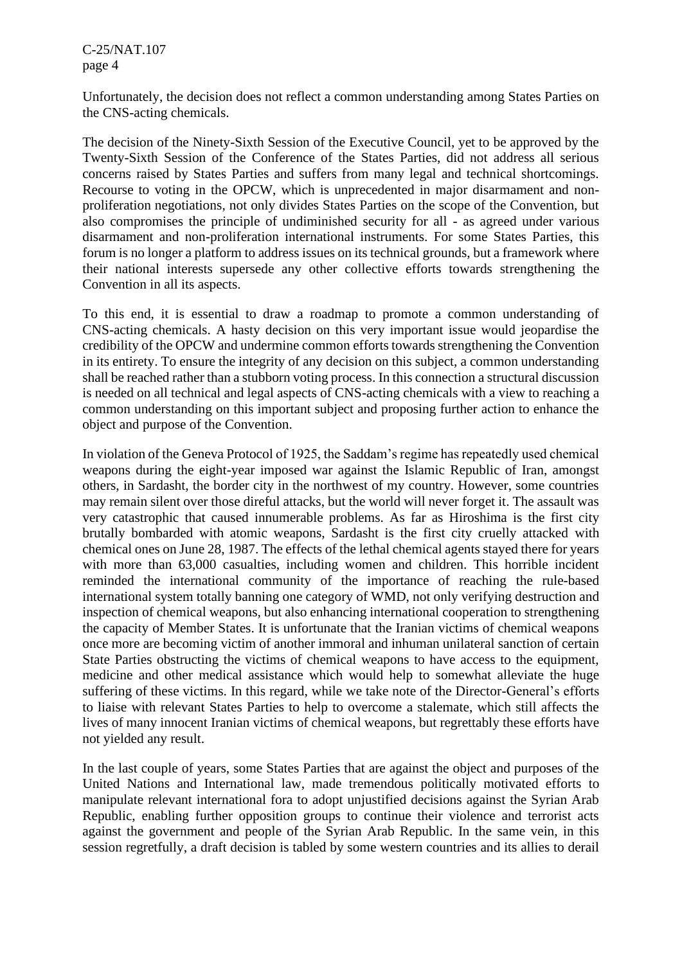C-25/NAT.107 page 4

Unfortunately, the decision does not reflect a common understanding among States Parties on the CNS-acting chemicals.

The decision of the Ninety-Sixth Session of the Executive Council, yet to be approved by the Twenty-Sixth Session of the Conference of the States Parties, did not address all serious concerns raised by States Parties and suffers from many legal and technical shortcomings. Recourse to voting in the OPCW, which is unprecedented in major disarmament and nonproliferation negotiations, not only divides States Parties on the scope of the Convention, but also compromises the principle of undiminished security for all - as agreed under various disarmament and non-proliferation international instruments. For some States Parties, this forum is no longer a platform to address issues on its technical grounds, but a framework where their national interests supersede any other collective efforts towards strengthening the Convention in all its aspects.

To this end, it is essential to draw a roadmap to promote a common understanding of CNS-acting chemicals. A hasty decision on this very important issue would jeopardise the credibility of the OPCW and undermine common efforts towards strengthening the Convention in its entirety. To ensure the integrity of any decision on this subject, a common understanding shall be reached rather than a stubborn voting process. In this connection a structural discussion is needed on all technical and legal aspects of CNS-acting chemicals with a view to reaching a common understanding on this important subject and proposing further action to enhance the object and purpose of the Convention.

In violation of the Geneva Protocol of 1925, the Saddam's regime has repeatedly used chemical weapons during the eight-year imposed war against the Islamic Republic of Iran, amongst others, in Sardasht, the border city in the northwest of my country. However, some countries may remain silent over those direful attacks, but the world will never forget it. The assault was very catastrophic that caused innumerable problems. As far as Hiroshima is the first city brutally bombarded with atomic weapons, Sardasht is the first city cruelly attacked with chemical ones on June 28, 1987. The effects of the lethal chemical agents stayed there for years with more than 63,000 casualties, including women and children. This horrible incident reminded the international community of the importance of reaching the rule-based international system totally banning one category of WMD, not only verifying destruction and inspection of chemical weapons, but also enhancing international cooperation to strengthening the capacity of Member States. It is unfortunate that the Iranian victims of chemical weapons once more are becoming victim of another immoral and inhuman unilateral sanction of certain State Parties obstructing the victims of chemical weapons to have access to the equipment, medicine and other medical assistance which would help to somewhat alleviate the huge suffering of these victims. In this regard, while we take note of the Director-General's efforts to liaise with relevant States Parties to help to overcome a stalemate, which still affects the lives of many innocent Iranian victims of chemical weapons, but regrettably these efforts have not yielded any result.

In the last couple of years, some States Parties that are against the object and purposes of the United Nations and International law, made tremendous politically motivated efforts to manipulate relevant international fora to adopt unjustified decisions against the Syrian Arab Republic, enabling further opposition groups to continue their violence and terrorist acts against the government and people of the Syrian Arab Republic. In the same vein, in this session regretfully, a draft decision is tabled by some western countries and its allies to derail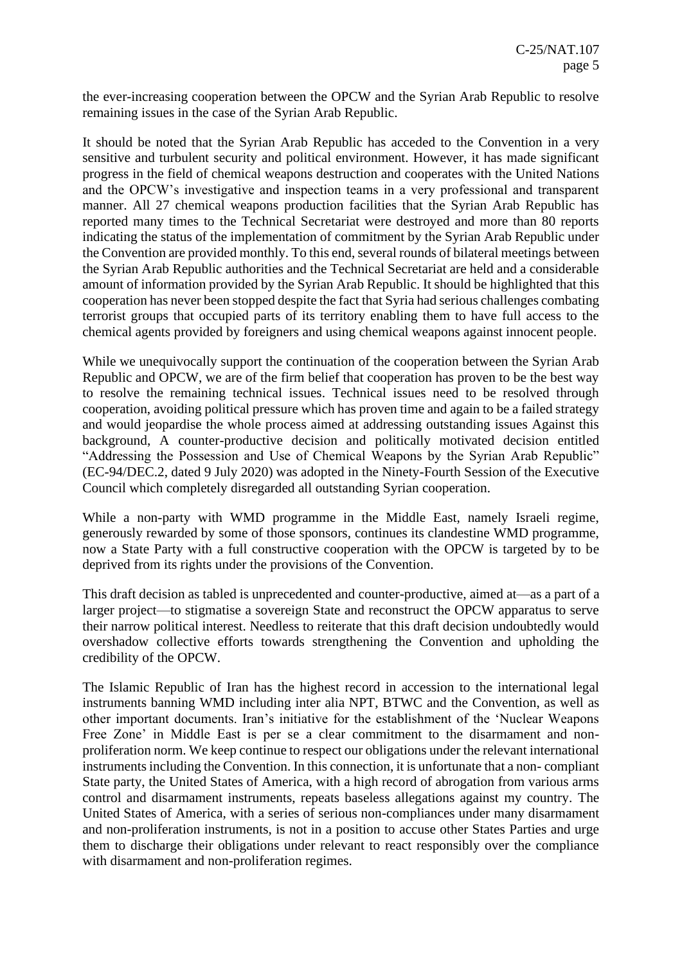the ever-increasing cooperation between the OPCW and the Syrian Arab Republic to resolve remaining issues in the case of the Syrian Arab Republic.

It should be noted that the Syrian Arab Republic has acceded to the Convention in a very sensitive and turbulent security and political environment. However, it has made significant progress in the field of chemical weapons destruction and cooperates with the United Nations and the OPCW's investigative and inspection teams in a very professional and transparent manner. All 27 chemical weapons production facilities that the Syrian Arab Republic has reported many times to the Technical Secretariat were destroyed and more than 80 reports indicating the status of the implementation of commitment by the Syrian Arab Republic under the Convention are provided monthly. To this end, several rounds of bilateral meetings between the Syrian Arab Republic authorities and the Technical Secretariat are held and a considerable amount of information provided by the Syrian Arab Republic. It should be highlighted that this cooperation has never been stopped despite the fact that Syria had serious challenges combating terrorist groups that occupied parts of its territory enabling them to have full access to the chemical agents provided by foreigners and using chemical weapons against innocent people.

While we unequivocally support the continuation of the cooperation between the Syrian Arab Republic and OPCW, we are of the firm belief that cooperation has proven to be the best way to resolve the remaining technical issues. Technical issues need to be resolved through cooperation, avoiding political pressure which has proven time and again to be a failed strategy and would jeopardise the whole process aimed at addressing outstanding issues Against this background, A counter-productive decision and politically motivated decision entitled "Addressing the Possession and Use of Chemical Weapons by the Syrian Arab Republic" (EC-94/DEC.2, dated 9 July 2020) was adopted in the Ninety-Fourth Session of the Executive Council which completely disregarded all outstanding Syrian cooperation.

While a non-party with WMD programme in the Middle East, namely Israeli regime, generously rewarded by some of those sponsors, continues its clandestine WMD programme, now a State Party with a full constructive cooperation with the OPCW is targeted by to be deprived from its rights under the provisions of the Convention.

This draft decision as tabled is unprecedented and counter-productive, aimed at—as a part of a larger project—to stigmatise a sovereign State and reconstruct the OPCW apparatus to serve their narrow political interest. Needless to reiterate that this draft decision undoubtedly would overshadow collective efforts towards strengthening the Convention and upholding the credibility of the OPCW.

The Islamic Republic of Iran has the highest record in accession to the international legal instruments banning WMD including inter alia NPT, BTWC and the Convention, as well as other important documents. Iran's initiative for the establishment of the 'Nuclear Weapons Free Zone' in Middle East is per se a clear commitment to the disarmament and nonproliferation norm. We keep continue to respect our obligations under the relevant international instruments including the Convention. In this connection, it is unfortunate that a non- compliant State party, the United States of America, with a high record of abrogation from various arms control and disarmament instruments, repeats baseless allegations against my country. The United States of America, with a series of serious non-compliances under many disarmament and non-proliferation instruments, is not in a position to accuse other States Parties and urge them to discharge their obligations under relevant to react responsibly over the compliance with disarmament and non-proliferation regimes.